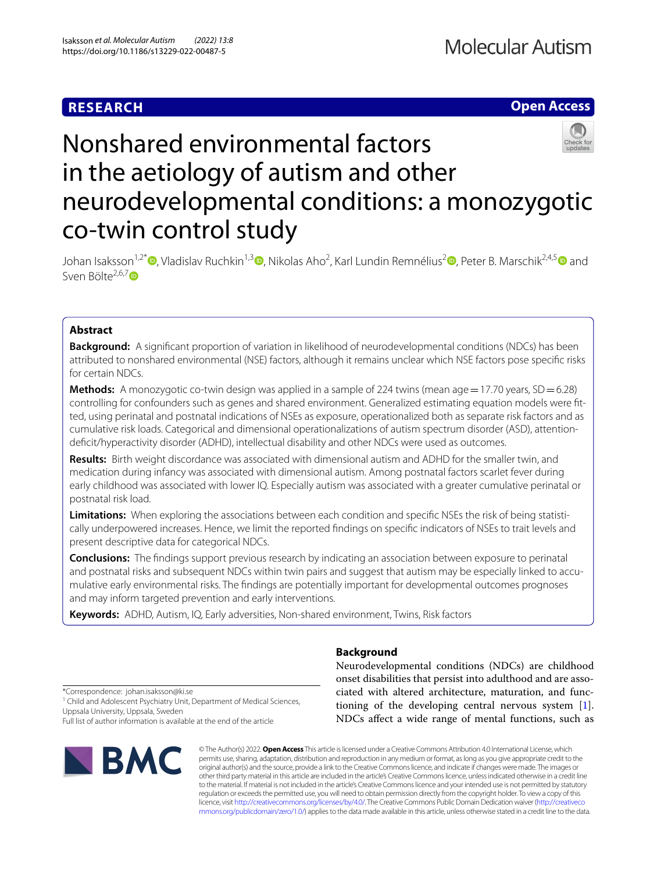# **RESEARCH**

## **Open Access**

# Nonshared environmental factors in the aetiology of autism and other neurodevelopmental conditions: a monozygotic co-twin control study

Johan Isaksson<sup>1[,](http://orcid.org/0000-0003-1033-2618)2\*</sup>®[,](http://orcid.org/0000-0002-2510-6798) Vladislav Ruchkin<sup>1,3</sup>®, Nikolas Aho<sup>[2](http://orcid.org/0000-0002-0270-8358)</sup>, Karl Lundin Remnélius<sup>2</sup>®, Peter B. Marschik<sup>2,4,[5](http://orcid.org/0000-0001-8932-0980)</sup>® and Sven Bölte $^{2,6,7}$  $^{2,6,7}$  $^{2,6,7}$ D

### **Abstract**

**Background:** A signifcant proportion of variation in likelihood of neurodevelopmental conditions (NDCs) has been attributed to nonshared environmental (NSE) factors, although it remains unclear which NSE factors pose specifc risks for certain NDCs.

**Methods:** A monozygotic co-twin design was applied in a sample of 224 twins (mean age = 17.70 years, SD = 6.28) controlling for confounders such as genes and shared environment. Generalized estimating equation models were ftted, using perinatal and postnatal indications of NSEs as exposure, operationalized both as separate risk factors and as cumulative risk loads. Categorical and dimensional operationalizations of autism spectrum disorder (ASD), attentiondeficit/hyperactivity disorder (ADHD), intellectual disability and other NDCs were used as outcomes.

**Results:** Birth weight discordance was associated with dimensional autism and ADHD for the smaller twin, and medication during infancy was associated with dimensional autism. Among postnatal factors scarlet fever during early childhood was associated with lower IQ. Especially autism was associated with a greater cumulative perinatal or postnatal risk load.

**Limitations:** When exploring the associations between each condition and specifc NSEs the risk of being statistically underpowered increases. Hence, we limit the reported fndings on specifc indicators of NSEs to trait levels and present descriptive data for categorical NDCs.

**Conclusions:** The fndings support previous research by indicating an association between exposure to perinatal and postnatal risks and subsequent NDCs within twin pairs and suggest that autism may be especially linked to accumulative early environmental risks. The fndings are potentially important for developmental outcomes prognoses and may inform targeted prevention and early interventions.

**Keywords:** ADHD, Autism, IQ, Early adversities, Non-shared environment, Twins, Risk factors

#### **Background**

Neurodevelopmental conditions (NDCs) are childhood onset disabilities that persist into adulthood and are associated with altered architecture, maturation, and functioning of the developing central nervous system [\[1](#page-9-0)]. NDCs afect a wide range of mental functions, such as

\*Correspondence: johan.isaksson@ki.se

<sup>1</sup> Child and Adolescent Psychiatry Unit, Department of Medical Sciences, Uppsala University, Uppsala, Sweden

Full list of author information is available at the end of the article



© The Author(s) 2022. **Open Access** This article is licensed under a Creative Commons Attribution 4.0 International License, which permits use, sharing, adaptation, distribution and reproduction in any medium or format, as long as you give appropriate credit to the original author(s) and the source, provide a link to the Creative Commons licence, and indicate if changes were made. The images or other third party material in this article are included in the article's Creative Commons licence, unless indicated otherwise in a credit line to the material. If material is not included in the article's Creative Commons licence and your intended use is not permitted by statutory regulation or exceeds the permitted use, you will need to obtain permission directly from the copyright holder. To view a copy of this licence, visit [http://creativecommons.org/licenses/by/4.0/.](http://creativecommons.org/licenses/by/4.0/) The Creative Commons Public Domain Dedication waiver ([http://creativeco](http://creativecommons.org/publicdomain/zero/1.0/) [mmons.org/publicdomain/zero/1.0/](http://creativecommons.org/publicdomain/zero/1.0/)) applies to the data made available in this article, unless otherwise stated in a credit line to the data.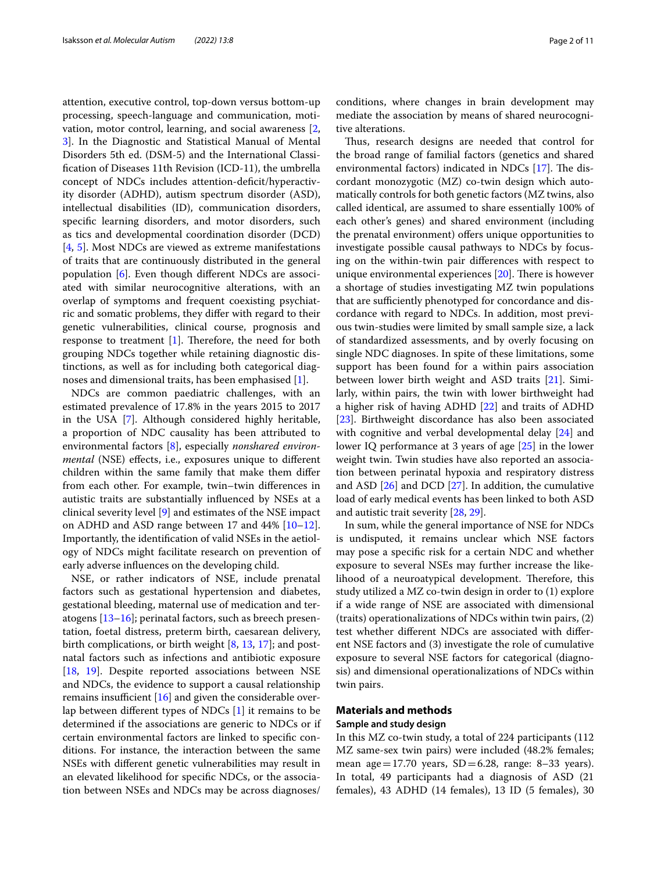attention, executive control, top-down versus bottom-up processing, speech-language and communication, motivation, motor control, learning, and social awareness [\[2](#page-9-1), [3\]](#page-9-2). In the Diagnostic and Statistical Manual of Mental Disorders 5th ed. (DSM-5) and the International Classifcation of Diseases 11th Revision (ICD-11), the umbrella concept of NDCs includes attention-defcit/hyperactivity disorder (ADHD), autism spectrum disorder (ASD), intellectual disabilities (ID), communication disorders, specifc learning disorders, and motor disorders, such as tics and developmental coordination disorder (DCD) [[4,](#page-9-3) [5\]](#page-9-4). Most NDCs are viewed as extreme manifestations of traits that are continuously distributed in the general population [\[6](#page-9-5)]. Even though diferent NDCs are associated with similar neurocognitive alterations, with an overlap of symptoms and frequent coexisting psychiatric and somatic problems, they difer with regard to their genetic vulnerabilities, clinical course, prognosis and response to treatment  $[1]$ . Therefore, the need for both grouping NDCs together while retaining diagnostic distinctions, as well as for including both categorical diagnoses and dimensional traits, has been emphasised [\[1](#page-9-0)].

NDCs are common paediatric challenges, with an estimated prevalence of 17.8% in the years 2015 to 2017 in the USA [\[7](#page-9-6)]. Although considered highly heritable, a proportion of NDC causality has been attributed to environmental factors [\[8](#page-9-7)], especially *nonshared environmental* (NSE) effects, i.e., exposures unique to different children within the same family that make them difer from each other. For example, twin–twin diferences in autistic traits are substantially infuenced by NSEs at a clinical severity level [[9\]](#page-9-8) and estimates of the NSE impact on ADHD and ASD range between 17 and  $44\%$  [ $10-12$  $10-12$ ]. Importantly, the identifcation of valid NSEs in the aetiology of NDCs might facilitate research on prevention of early adverse infuences on the developing child.

NSE, or rather indicators of NSE, include prenatal factors such as gestational hypertension and diabetes, gestational bleeding, maternal use of medication and teratogens [\[13](#page-9-11)[–16\]](#page-9-12); perinatal factors, such as breech presentation, foetal distress, preterm birth, caesarean delivery, birth complications, or birth weight [\[8](#page-9-7), [13](#page-9-11), [17\]](#page-9-13); and postnatal factors such as infections and antibiotic exposure [[18,](#page-9-14) [19\]](#page-9-15). Despite reported associations between NSE and NDCs, the evidence to support a causal relationship remains insufficient  $[16]$  $[16]$  and given the considerable overlap between diferent types of NDCs [\[1](#page-9-0)] it remains to be determined if the associations are generic to NDCs or if certain environmental factors are linked to specifc conditions. For instance, the interaction between the same NSEs with diferent genetic vulnerabilities may result in an elevated likelihood for specifc NDCs, or the association between NSEs and NDCs may be across diagnoses/

conditions, where changes in brain development may mediate the association by means of shared neurocognitive alterations.

Thus, research designs are needed that control for the broad range of familial factors (genetics and shared environmental factors) indicated in NDCs  $[17]$ . The discordant monozygotic (MZ) co-twin design which automatically controls for both genetic factors (MZ twins, also called identical, are assumed to share essentially 100% of each other's genes) and shared environment (including the prenatal environment) offers unique opportunities to investigate possible causal pathways to NDCs by focusing on the within-twin pair diferences with respect to unique environmental experiences  $[20]$  $[20]$ . There is however a shortage of studies investigating MZ twin populations that are sufficiently phenotyped for concordance and discordance with regard to NDCs. In addition, most previous twin-studies were limited by small sample size, a lack of standardized assessments, and by overly focusing on single NDC diagnoses. In spite of these limitations, some support has been found for a within pairs association between lower birth weight and ASD traits [\[21\]](#page-10-1). Similarly, within pairs, the twin with lower birthweight had a higher risk of having ADHD [\[22](#page-10-2)] and traits of ADHD [[23\]](#page-10-3). Birthweight discordance has also been associated with cognitive and verbal developmental delay [[24\]](#page-10-4) and lower IQ performance at 3 years of age [[25\]](#page-10-5) in the lower weight twin. Twin studies have also reported an association between perinatal hypoxia and respiratory distress and ASD [[26\]](#page-10-6) and DCD [\[27\]](#page-10-7). In addition, the cumulative load of early medical events has been linked to both ASD and autistic trait severity [\[28,](#page-10-8) [29](#page-10-9)].

In sum, while the general importance of NSE for NDCs is undisputed, it remains unclear which NSE factors may pose a specifc risk for a certain NDC and whether exposure to several NSEs may further increase the likelihood of a neuroatypical development. Therefore, this study utilized a MZ co-twin design in order to (1) explore if a wide range of NSE are associated with dimensional (traits) operationalizations of NDCs within twin pairs, (2) test whether diferent NDCs are associated with diferent NSE factors and (3) investigate the role of cumulative exposure to several NSE factors for categorical (diagnosis) and dimensional operationalizations of NDCs within twin pairs.

#### **Materials and methods**

#### **Sample and study design**

In this MZ co-twin study, a total of 224 participants (112 MZ same-sex twin pairs) were included (48.2% females; mean age=17.70 years,  $SD = 6.28$ , range: 8–33 years). In total, 49 participants had a diagnosis of ASD (21 females), 43 ADHD (14 females), 13 ID (5 females), 30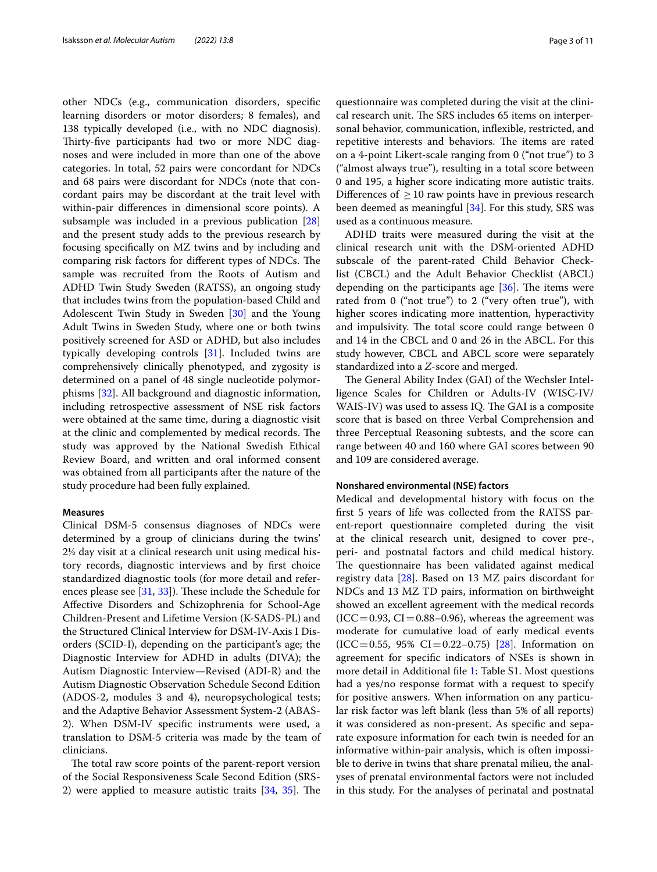other NDCs (e.g., communication disorders, specifc learning disorders or motor disorders; 8 females), and 138 typically developed (i.e., with no NDC diagnosis). Thirty-five participants had two or more NDC diagnoses and were included in more than one of the above categories. In total, 52 pairs were concordant for NDCs and 68 pairs were discordant for NDCs (note that concordant pairs may be discordant at the trait level with within-pair diferences in dimensional score points). A subsample was included in a previous publication [[28](#page-10-8)] and the present study adds to the previous research by focusing specifcally on MZ twins and by including and comparing risk factors for different types of NDCs. The sample was recruited from the Roots of Autism and ADHD Twin Study Sweden (RATSS), an ongoing study that includes twins from the population-based Child and Adolescent Twin Study in Sweden [[30](#page-10-10)] and the Young Adult Twins in Sweden Study, where one or both twins positively screened for ASD or ADHD, but also includes typically developing controls [\[31](#page-10-11)]. Included twins are comprehensively clinically phenotyped, and zygosity is determined on a panel of 48 single nucleotide polymorphisms [[32\]](#page-10-12). All background and diagnostic information, including retrospective assessment of NSE risk factors were obtained at the same time, during a diagnostic visit at the clinic and complemented by medical records. The study was approved by the National Swedish Ethical Review Board, and written and oral informed consent was obtained from all participants after the nature of the study procedure had been fully explained.

#### **Measures**

Clinical DSM-5 consensus diagnoses of NDCs were determined by a group of clinicians during the twins' 2½ day visit at a clinical research unit using medical history records, diagnostic interviews and by frst choice standardized diagnostic tools (for more detail and references please see  $[31, 33]$  $[31, 33]$  $[31, 33]$  $[31, 33]$ . These include the Schedule for Afective Disorders and Schizophrenia for School-Age Children-Present and Lifetime Version (K-SADS-PL) and the Structured Clinical Interview for DSM-IV-Axis I Disorders (SCID-I), depending on the participant's age; the Diagnostic Interview for ADHD in adults (DIVA); the Autism Diagnostic Interview—Revised (ADI-R) and the Autism Diagnostic Observation Schedule Second Edition (ADOS-2, modules 3 and 4), neuropsychological tests; and the Adaptive Behavior Assessment System-2 (ABAS-2). When DSM-IV specifc instruments were used, a translation to DSM-5 criteria was made by the team of clinicians.

The total raw score points of the parent-report version of the Social Responsiveness Scale Second Edition (SRS-2) were applied to measure autistic traits  $[34, 35]$  $[34, 35]$  $[34, 35]$  $[34, 35]$ . The

questionnaire was completed during the visit at the clinical research unit. The SRS includes 65 items on interpersonal behavior, communication, infexible, restricted, and repetitive interests and behaviors. The items are rated on a 4-point Likert-scale ranging from 0 ("not true") to 3 ("almost always true"), resulting in a total score between 0 and 195, a higher score indicating more autistic traits. Differences of  $\geq 10$  raw points have in previous research been deemed as meaningful [[34\]](#page-10-14). For this study, SRS was used as a continuous measure.

ADHD traits were measured during the visit at the clinical research unit with the DSM-oriented ADHD subscale of the parent-rated Child Behavior Checklist (CBCL) and the Adult Behavior Checklist (ABCL) depending on the participants age  $[36]$  $[36]$ . The items were rated from 0 ("not true") to 2 ("very often true"), with higher scores indicating more inattention, hyperactivity and impulsivity. The total score could range between 0 and 14 in the CBCL and 0 and 26 in the ABCL. For this study however, CBCL and ABCL score were separately standardized into a *Z*-score and merged.

The General Ability Index (GAI) of the Wechsler Intelligence Scales for Children or Adults-IV (WISC-IV/ WAIS-IV) was used to assess IQ. The GAI is a composite score that is based on three Verbal Comprehension and three Perceptual Reasoning subtests, and the score can range between 40 and 160 where GAI scores between 90 and 109 are considered average.

#### **Nonshared environmental (NSE) factors**

Medical and developmental history with focus on the frst 5 years of life was collected from the RATSS parent-report questionnaire completed during the visit at the clinical research unit, designed to cover pre-, peri- and postnatal factors and child medical history. The questionnaire has been validated against medical registry data [[28](#page-10-8)]. Based on 13 MZ pairs discordant for NDCs and 13 MZ TD pairs, information on birthweight showed an excellent agreement with the medical records  $(ICC=0.93, CI=0.88-0.96)$ , whereas the agreement was moderate for cumulative load of early medical events  $(ICC=0.55, 95\% CI=0.22-0.75) [28]$  $(ICC=0.55, 95\% CI=0.22-0.75) [28]$ . Information on agreement for specifc indicators of NSEs is shown in more detail in Additional fle [1](#page-8-0): Table S1. Most questions had a yes/no response format with a request to specify for positive answers. When information on any particular risk factor was left blank (less than 5% of all reports) it was considered as non-present. As specifc and separate exposure information for each twin is needed for an informative within-pair analysis, which is often impossible to derive in twins that share prenatal milieu, the analyses of prenatal environmental factors were not included in this study. For the analyses of perinatal and postnatal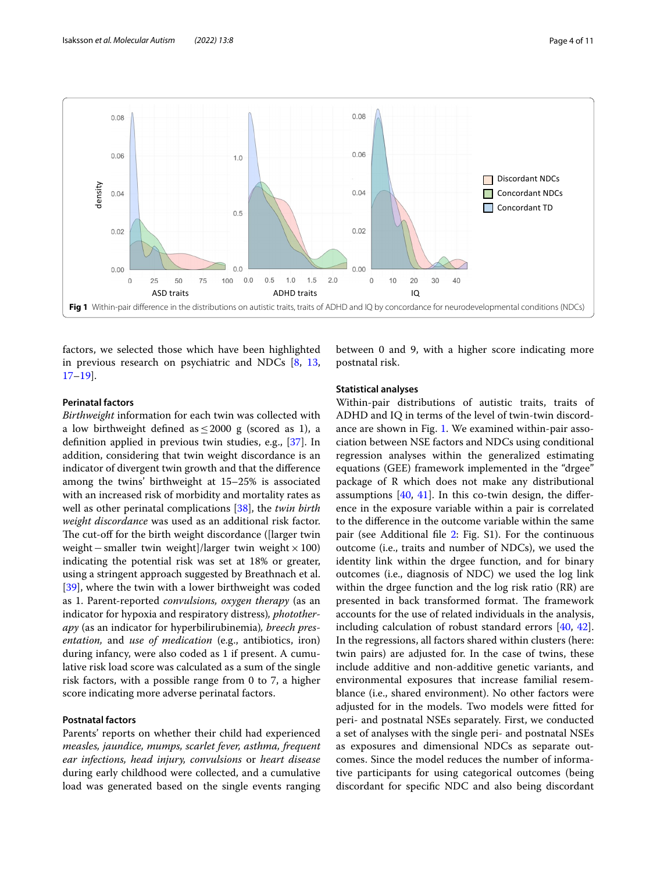

<span id="page-3-0"></span>factors, we selected those which have been highlighted in previous research on psychiatric and NDCs [[8,](#page-9-7) [13](#page-9-11), [17–](#page-9-13)[19](#page-9-15)].

#### **Perinatal factors**

*Birthweight* information for each twin was collected with a low birthweight defined as  $\leq$  2000 g (scored as 1), a defnition applied in previous twin studies, e.g., [\[37\]](#page-10-17). In addition, considering that twin weight discordance is an indicator of divergent twin growth and that the diference among the twins' birthweight at 15–25% is associated with an increased risk of morbidity and mortality rates as well as other perinatal complications [\[38\]](#page-10-18), the *twin birth weight discordance* was used as an additional risk factor. The cut-off for the birth weight discordance ([larger twin weight−smaller twin weight]/larger twin weight×100) indicating the potential risk was set at 18% or greater, using a stringent approach suggested by Breathnach et al. [[39\]](#page-10-19), where the twin with a lower birthweight was coded as 1. Parent-reported *convulsions, oxygen therapy* (as an indicator for hypoxia and respiratory distress)*, phototherapy* (as an indicator for hyperbilirubinemia)*, breech presentation,* and *use of medication* (e.g., antibiotics, iron) during infancy, were also coded as 1 if present. A cumulative risk load score was calculated as a sum of the single risk factors, with a possible range from 0 to 7, a higher score indicating more adverse perinatal factors.

#### **Postnatal factors**

Parents' reports on whether their child had experienced *measles, jaundice, mumps, scarlet fever, asthma, frequent ear infections, head injury, convulsions* or *heart disease* during early childhood were collected, and a cumulative load was generated based on the single events ranging between 0 and 9, with a higher score indicating more postnatal risk.

#### **Statistical analyses**

Within-pair distributions of autistic traits, traits of ADHD and IQ in terms of the level of twin-twin discordance are shown in Fig. [1](#page-3-0). We examined within-pair association between NSE factors and NDCs using conditional regression analyses within the generalized estimating equations (GEE) framework implemented in the "drgee" package of R which does not make any distributional assumptions [[40,](#page-10-20) [41](#page-10-21)]. In this co-twin design, the diference in the exposure variable within a pair is correlated to the diference in the outcome variable within the same pair (see Additional file [2:](#page-8-1) Fig. S1). For the continuous outcome (i.e., traits and number of NDCs), we used the identity link within the drgee function, and for binary outcomes (i.e., diagnosis of NDC) we used the log link within the drgee function and the log risk ratio (RR) are presented in back transformed format. The framework accounts for the use of related individuals in the analysis, including calculation of robust standard errors [[40](#page-10-20), [42](#page-10-22)]. In the regressions, all factors shared within clusters (here: twin pairs) are adjusted for. In the case of twins, these include additive and non-additive genetic variants, and environmental exposures that increase familial resemblance (i.e., shared environment). No other factors were adjusted for in the models. Two models were ftted for peri- and postnatal NSEs separately. First, we conducted a set of analyses with the single peri- and postnatal NSEs as exposures and dimensional NDCs as separate outcomes. Since the model reduces the number of informative participants for using categorical outcomes (being discordant for specifc NDC and also being discordant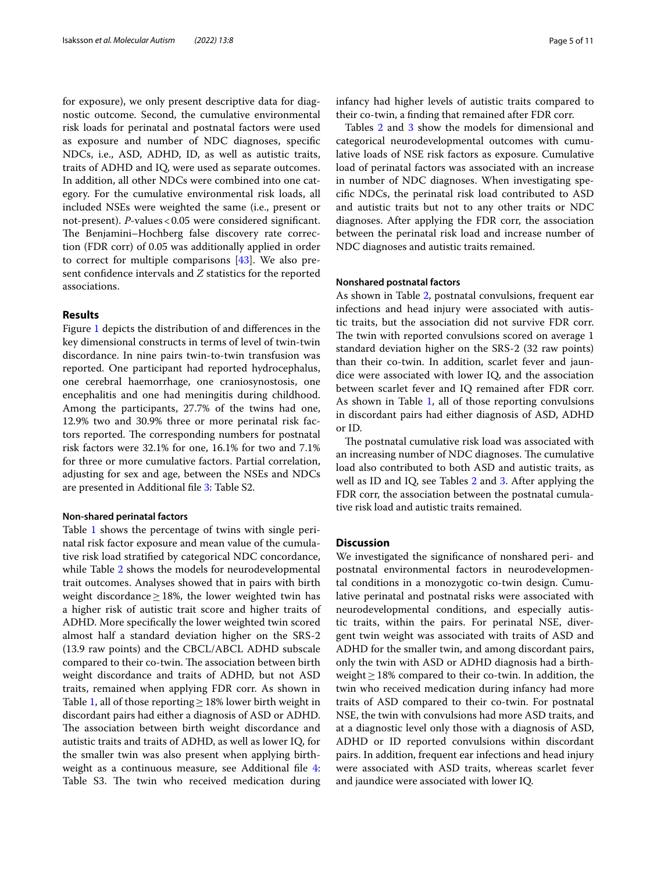for exposure), we only present descriptive data for diagnostic outcome. Second, the cumulative environmental risk loads for perinatal and postnatal factors were used as exposure and number of NDC diagnoses, specifc NDCs, i.e., ASD, ADHD, ID, as well as autistic traits, traits of ADHD and IQ, were used as separate outcomes. In addition, all other NDCs were combined into one category. For the cumulative environmental risk loads, all included NSEs were weighted the same (i.e., present or not-present). *P*-values < 0.05 were considered significant. The Benjamini-Hochberg false discovery rate correction (FDR corr) of 0.05 was additionally applied in order to correct for multiple comparisons [\[43](#page-10-23)]. We also present confdence intervals and *Z* statistics for the reported associations.

#### **Results**

Figure [1](#page-3-0) depicts the distribution of and diferences in the key dimensional constructs in terms of level of twin-twin discordance. In nine pairs twin-to-twin transfusion was reported. One participant had reported hydrocephalus, one cerebral haemorrhage, one craniosynostosis, one encephalitis and one had meningitis during childhood. Among the participants, 27.7% of the twins had one, 12.9% two and 30.9% three or more perinatal risk factors reported. The corresponding numbers for postnatal risk factors were 32.1% for one, 16.1% for two and 7.1% for three or more cumulative factors. Partial correlation, adjusting for sex and age, between the NSEs and NDCs are presented in Additional fle [3:](#page-8-2) Table S2.

#### **Non‑shared perinatal factors**

Table [1](#page-5-0) shows the percentage of twins with single perinatal risk factor exposure and mean value of the cumulative risk load stratifed by categorical NDC concordance, while Table [2](#page-6-0) shows the models for neurodevelopmental trait outcomes. Analyses showed that in pairs with birth weight discordance  $\geq$  18%, the lower weighted twin has a higher risk of autistic trait score and higher traits of ADHD. More specifcally the lower weighted twin scored almost half a standard deviation higher on the SRS-2 (13.9 raw points) and the CBCL/ABCL ADHD subscale compared to their co-twin. The association between birth weight discordance and traits of ADHD, but not ASD traits, remained when applying FDR corr. As shown in Table [1](#page-5-0), all of those reporting  $\geq$  18% lower birth weight in discordant pairs had either a diagnosis of ASD or ADHD. The association between birth weight discordance and autistic traits and traits of ADHD, as well as lower IQ, for the smaller twin was also present when applying birthweight as a continuous measure, see Additional fle [4](#page-8-3): Table S3. The twin who received medication during infancy had higher levels of autistic traits compared to their co-twin, a fnding that remained after FDR corr.

Tables [2](#page-6-0) and [3](#page-6-1) show the models for dimensional and categorical neurodevelopmental outcomes with cumulative loads of NSE risk factors as exposure. Cumulative load of perinatal factors was associated with an increase in number of NDC diagnoses. When investigating specifc NDCs, the perinatal risk load contributed to ASD and autistic traits but not to any other traits or NDC diagnoses. After applying the FDR corr, the association between the perinatal risk load and increase number of NDC diagnoses and autistic traits remained.

#### **Nonshared postnatal factors**

As shown in Table [2,](#page-6-0) postnatal convulsions, frequent ear infections and head injury were associated with autistic traits, but the association did not survive FDR corr. The twin with reported convulsions scored on average 1 standard deviation higher on the SRS-2 (32 raw points) than their co-twin. In addition, scarlet fever and jaundice were associated with lower IQ, and the association between scarlet fever and IQ remained after FDR corr. As shown in Table [1,](#page-5-0) all of those reporting convulsions in discordant pairs had either diagnosis of ASD, ADHD or ID.

The postnatal cumulative risk load was associated with an increasing number of NDC diagnoses. The cumulative load also contributed to both ASD and autistic traits, as well as ID and IQ, see Tables [2](#page-6-0) and [3](#page-6-1). After applying the FDR corr, the association between the postnatal cumulative risk load and autistic traits remained.

#### **Discussion**

We investigated the signifcance of nonshared peri- and postnatal environmental factors in neurodevelopmental conditions in a monozygotic co-twin design. Cumulative perinatal and postnatal risks were associated with neurodevelopmental conditions, and especially autistic traits, within the pairs. For perinatal NSE, divergent twin weight was associated with traits of ASD and ADHD for the smaller twin, and among discordant pairs, only the twin with ASD or ADHD diagnosis had a birthweight≥18% compared to their co-twin. In addition, the twin who received medication during infancy had more traits of ASD compared to their co-twin. For postnatal NSE, the twin with convulsions had more ASD traits, and at a diagnostic level only those with a diagnosis of ASD, ADHD or ID reported convulsions within discordant pairs. In addition, frequent ear infections and head injury were associated with ASD traits, whereas scarlet fever and jaundice were associated with lower IQ.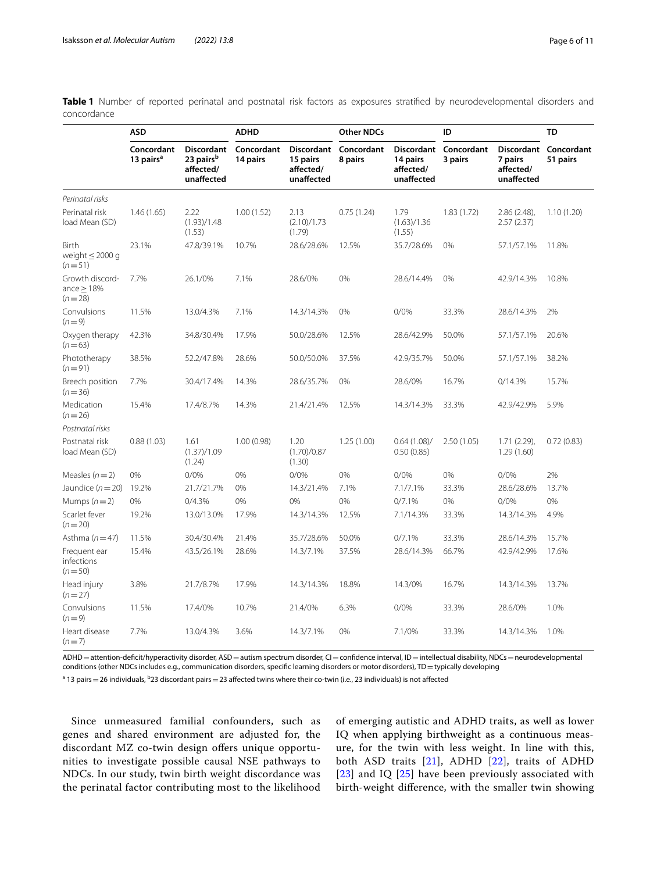<span id="page-5-0"></span>**Table 1** Number of reported perinatal and postnatal risk factors as exposures stratifed by neurodevelopmental disorders and concordance

|                                                | <b>ASD</b>                          |                                                                       | <b>ADHD</b>            |                                                          | <b>Other NDCs</b>     |                                     | ID                               |                                    | <b>TD</b>                         |
|------------------------------------------------|-------------------------------------|-----------------------------------------------------------------------|------------------------|----------------------------------------------------------|-----------------------|-------------------------------------|----------------------------------|------------------------------------|-----------------------------------|
|                                                | Concordant<br>13 pairs <sup>a</sup> | <b>Discordant</b><br>23 pairs <sup>b</sup><br>affected/<br>unaffected | Concordant<br>14 pairs | <b>Discordant</b><br>15 pairs<br>affected/<br>unaffected | Concordant<br>8 pairs | 14 pairs<br>affected/<br>unaffected | Discordant Concordant<br>3 pairs | 7 pairs<br>affected/<br>unaffected | Discordant Concordant<br>51 pairs |
| Perinatal risks                                |                                     |                                                                       |                        |                                                          |                       |                                     |                                  |                                    |                                   |
| Perinatal risk<br>load Mean (SD)               | 1.46(1.65)                          | 2.22<br>(1.93)/1.48<br>(1.53)                                         | 1.00(1.52)             | 2.13<br>(2.10)/1.73<br>(1.79)                            | 0.75(1.24)            | 1.79<br>(1.63)/1.36<br>(1.55)       | 1.83(1.72)                       | $2.86(2.48)$ ,<br>2.57(2.37)       | 1.10(1.20)                        |
| Birth<br>weight $\leq$ 2000 g<br>$(n=51)$      | 23.1%                               | 47.8/39.1%                                                            | 10.7%                  | 28.6/28.6%                                               | 12.5%                 | 35.7/28.6%                          | 0%                               | 57.1/57.1%                         | 11.8%                             |
| Growth discord-<br>ance $\geq$ 18%<br>$(n=28)$ | 7.7%                                | 26.1/0%                                                               | 7.1%                   | 28.6/0%                                                  | 0%                    | 28.6/14.4%                          | 0%                               | 42.9/14.3%                         | 10.8%                             |
| Convulsions<br>$(n=9)$                         | 11.5%                               | 13.0/4.3%                                                             | 7.1%                   | 14.3/14.3%                                               | 0%                    | 0/0%                                | 33.3%                            | 28.6/14.3%                         | 2%                                |
| Oxygen therapy<br>$(n=63)$                     | 42.3%                               | 34.8/30.4%                                                            | 17.9%                  | 50.0/28.6%                                               | 12.5%                 | 28.6/42.9%                          | 50.0%                            | 57.1/57.1%                         | 20.6%                             |
| Phototherapy<br>$(n=91)$                       | 38.5%                               | 52.2/47.8%                                                            | 28.6%                  | 50.0/50.0%                                               | 37.5%                 | 42.9/35.7%                          | 50.0%                            | 57.1/57.1%                         | 38.2%                             |
| Breech position<br>$(n=36)$                    | 7.7%                                | 30.4/17.4%                                                            | 14.3%                  | 28.6/35.7%                                               | 0%                    | 28.6/0%                             | 16.7%                            | 0/14.3%                            | 15.7%                             |
| Medication<br>$(n=26)$                         | 15.4%                               | 17.4/8.7%                                                             | 14.3%                  | 21.4/21.4%                                               | 12.5%                 | 14.3/14.3%                          | 33.3%                            | 42.9/42.9%                         | 5.9%                              |
| Postnatal risks                                |                                     |                                                                       |                        |                                                          |                       |                                     |                                  |                                    |                                   |
| Postnatal risk<br>load Mean (SD)               | 0.88(1.03)                          | 1.61<br>(1.37)/1.09<br>(1.24)                                         | 1.00(0.98)             | 1.20<br>(1.70)/0.87<br>(1.30)                            | 1.25(1.00)            | 0.64(1.08)<br>0.50(0.85)            | 2.50(1.05)                       | $1.71(2.29)$ ,<br>1.29(1.60)       | 0.72(0.83)                        |
| Measles $(n=2)$                                | 0%                                  | 0/0%                                                                  | 0%                     | 0/0%                                                     | 0%                    | 0/0%                                | 0%                               | 0/0%                               | 2%                                |
| Jaundice $(n=20)$                              | 19.2%                               | 21.7/21.7%                                                            | 0%                     | 14.3/21.4%                                               | 7.1%                  | 7.1/7.1%                            | 33.3%                            | 28.6/28.6%                         | 13.7%                             |
| Mumps $(n=2)$                                  | 0%                                  | 0/4.3%                                                                | 0%                     | 0%                                                       | 0%                    | 0/7.1%                              | 0%                               | 0/0%                               | 0%                                |
| Scarlet fever<br>$(n=20)$                      | 19.2%                               | 13.0/13.0%                                                            | 17.9%                  | 14.3/14.3%                                               | 12.5%                 | 7.1/14.3%                           | 33.3%                            | 14.3/14.3%                         | 4.9%                              |
| Asthma $(n=47)$                                | 11.5%                               | 30.4/30.4%                                                            | 21.4%                  | 35.7/28.6%                                               | 50.0%                 | 0/7.1%                              | 33.3%                            | 28.6/14.3%                         | 15.7%                             |
| Frequent ear<br>infections<br>$(n=50)$         | 15.4%                               | 43.5/26.1%                                                            | 28.6%                  | 14.3/7.1%                                                | 37.5%                 | 28.6/14.3%                          | 66.7%                            | 42.9/42.9%                         | 17.6%                             |
| Head injury<br>$(n=27)$                        | 3.8%                                | 21.7/8.7%                                                             | 17.9%                  | 14.3/14.3%                                               | 18.8%                 | 14.3/0%                             | 16.7%                            | 14.3/14.3%                         | 13.7%                             |
| Convulsions<br>$(n=9)$                         | 11.5%                               | 17.4/0%                                                               | 10.7%                  | 21.4/0%                                                  | 6.3%                  | 0/0%                                | 33.3%                            | 28.6/0%                            | 1.0%                              |
| Heart disease<br>$(n=7)$                       | 7.7%                                | 13.0/4.3%                                                             | 3.6%                   | 14.3/7.1%                                                | 0%                    | 7.1/0%                              | 33.3%                            | 14.3/14.3%                         | 1.0%                              |

ADHD = attention-deficit/hyperactivity disorder, ASD = autism spectrum disorder, CI = confidence interval, ID = intellectual disability, NDCs = neurodevelopmental conditions (other NDCs includes e.g., communication disorders, specific learning disorders or motor disorders), TD = typically developing

 $^{\rm a}$  13 pairs  $=$  26 individuals,  $^{\rm b}$ 23 discordant pairs  $=$  23 affected twins where their co-twin (i.e., 23 individuals) is not affected

Since unmeasured familial confounders, such as genes and shared environment are adjusted for, the discordant MZ co-twin design offers unique opportunities to investigate possible causal NSE pathways to NDCs. In our study, twin birth weight discordance was the perinatal factor contributing most to the likelihood of emerging autistic and ADHD traits, as well as lower IQ when applying birthweight as a continuous measure, for the twin with less weight. In line with this, both ASD traits [\[21](#page-10-1)], ADHD [[22](#page-10-2)], traits of ADHD [[23](#page-10-3)] and IQ [\[25](#page-10-5)] have been previously associated with birth-weight diference, with the smaller twin showing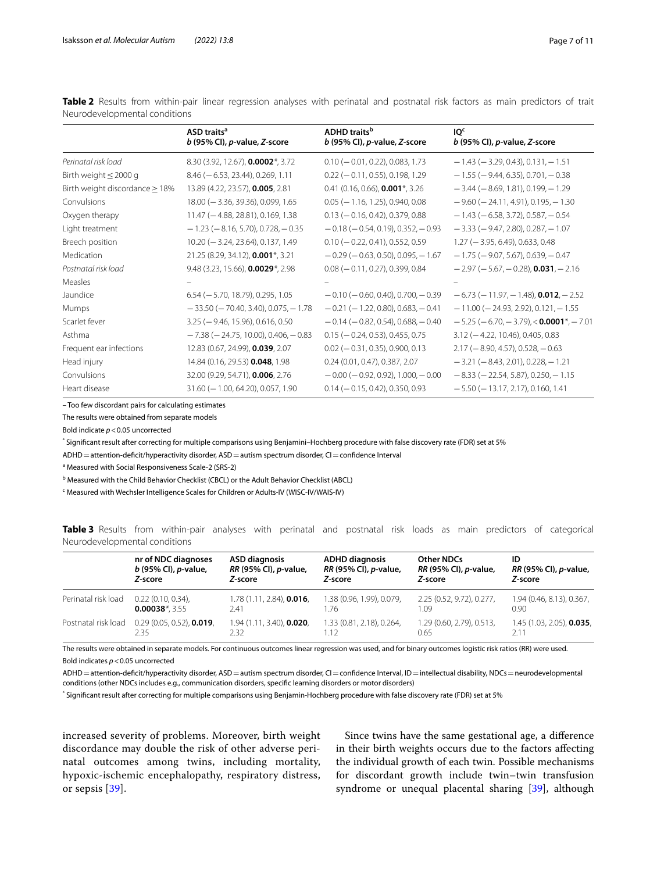<span id="page-6-0"></span>Table 2 Results from within-pair linear regression analyses with perinatal and postnatal risk factors as main predictors of trait Neurodevelopmental conditions

|                                      | ASD traits <sup>a</sup><br>$b$ (95% CI), p-value, Z-score | <b>ADHD</b> traits <sup>b</sup><br>$b$ (95% CI), p-value, Z-score | IO <sub>c</sub><br>$b$ (95% CI), p-value, Z-score                |
|--------------------------------------|-----------------------------------------------------------|-------------------------------------------------------------------|------------------------------------------------------------------|
| Perinatal risk load                  | 8.30 (3.92, 12.67), 0.0002*, 3.72                         | $0.10 (-0.01, 0.22), 0.083, 1.73$                                 | $-1.43$ ( $-3.29$ , 0.43), 0.131, $-1.51$                        |
| Birth weight $\leq$ 2000 g           | $8.46$ ( $-6.53$ , 23.44), 0.269, 1.11                    | $0.22 (-0.11, 0.55), 0.198, 1.29)$                                | $-1.55$ ( $-9.44$ , 6.35), 0.701, $-0.38$                        |
| Birth weight discordance $\geq 18\%$ | 13.89 (4.22, 23.57), 0.005, 2.81                          | $0.41$ (0.16, 0.66), <b>0.001</b> *, 3.26                         | $-3.44$ ( $-8.69$ , 1.81), 0.199, $-1.29$                        |
| Convulsions                          | $18.00 (-3.36, 39.36), 0.099, 1.65$                       | $0.05$ ( $-1.16$ , 1.25), 0.940, 0.08                             | $-9.60$ ( $-24.11$ , 4.91), 0.195, $-1.30$                       |
| Oxygen therapy                       | $11.47 (-4.88, 28.81), 0.169, 1.38$                       | $0.13 (-0.16, 0.42), 0.379, 0.88)$                                | $-1.43$ ( $-6.58$ , 3.72), 0.587, $-0.54$                        |
| Light treatment                      | $-1.23$ ( $-8.16$ , 5.70), 0.728, $-0.35$                 | $-0.18$ ( $-0.54$ , 0.19), 0.352, $-0.93$                         | $-3.33$ ( $-9.47$ , 2.80), 0.287, $-1.07$                        |
| Breech position                      | $10.20$ (-3.24, 23.64), 0.137, 1.49                       | $0.10 (-0.22, 0.41), 0.552, 0.59$                                 | $1.27$ ( $-3.95$ , 6.49), 0.633, 0.48                            |
| Medication                           | 21.25 (8.29, 34.12), 0.001*, 3.21                         | $-0.29$ ( $-0.63$ , 0.50), 0.095, $-1.67$                         | $-1.75$ ( $-9.07$ , 5.67), 0.639, $-0.47$                        |
| Postnatal risk load                  | 9.48 (3.23, 15.66), 0.0029*, 2.98                         | $0.08$ ( $-0.11$ , 0.27), 0.399, 0.84                             | $-2.97$ ( $-5.67$ , $-0.28$ ), <b>0.031</b> , $-2.16$            |
| <b>Measles</b>                       |                                                           |                                                                   |                                                                  |
| Jaundice                             | $6.54$ ( $-5.70$ , 18.79), 0.295, 1.05                    | $-0.10$ ( $-0.60$ , 0.40), 0.700, $-0.39$                         | $-6.73$ ( $-11.97$ , $-1.48$ ), <b>0.012</b> , $-2.52$           |
| Mumps                                | $-33.50$ ( $-70.40$ , 3.40), 0.075, $-1.78$               | $-0.21$ ( $-1.22$ , 0.80), 0.683, $-0.41$                         | $-11.00$ ( $-24.93$ , 2.92), 0.121, $-1.55$                      |
| Scarlet fever                        | $3.25$ ( $-9.46$ , 15.96), 0.616, 0.50                    | $-0.14$ ( $-0.82$ , 0.54), 0.688, $-0.40$                         | $-5.25$ ( $-6.70$ , $-3.79$ ), $<$ 0.0001 <sup>*</sup> , $-7.01$ |
| Asthma                               | $-7.38$ ( $-24.75$ , 10.00), 0.406, $-0.83$               | $0.15 (-0.24, 0.53), 0.455, 0.75)$                                | $3.12$ ( $-4.22$ , 10.46), 0.405, 0.83                           |
| Frequent ear infections              | 12.83 (0.67, 24.99), 0.039, 2.07                          | $0.02$ ( $-0.31$ , 0.35), 0.900, 0.13                             | $2.17$ (-8.90, 4.57), 0.528, -0.63                               |
| Head injury                          | 14.84 (0.16, 29.53) 0.048, 1.98                           | 0.24 (0.01, 0.47), 0.387, 2.07                                    | $-3.21$ ( $-8.43$ , 2.01), 0.228, $-1.21$                        |
| Convulsions                          | 32.00 (9.29, 54.71), 0.006, 2.76                          | $-0.00$ ( $-0.92$ , 0.92), 1.000, $-0.00$                         | $-8.33$ ( $-22.54$ , 5.87), 0.250, $-1.15$                       |
| Heart disease                        | $31.60$ ( $-1.00$ , 64.20), 0.057, 1.90                   | $0.14 (-0.15, 0.42), 0.350, 0.93$                                 | $-5.50$ ( $-13.17$ , 2.17), 0.160, 1.41                          |

– Too few discordant pairs for calculating estimates

The results were obtained from separate models

Bold indicate *p*<0.05 uncorrected

\* Signifcant result after correcting for multiple comparisons using Benjamini–Hochberg procedure with false discovery rate (FDR) set at 5%

ADHD = attention-deficit/hyperactivity disorder, ASD = autism spectrum disorder, CI = confidence Interval

<sup>a</sup> Measured with Social Responsiveness Scale-2 (SRS-2)

**b Measured with the Child Behavior Checklist (CBCL) or the Adult Behavior Checklist (ABCL)** 

<sup>c</sup> Measured with Wechsler Intelligence Scales for Children or Adults-IV (WISC-IV/WAIS-IV)

<span id="page-6-1"></span>**Table 3** Results from within-pair analyses with perinatal and postnatal risk loads as main predictors of categorical Neurodevelopmental conditions

|                     | nr of NDC diagnoses<br>b (95% CI), p-value, | <b>ASD diagnosis</b><br>RR (95% CI), p-value, | <b>ADHD diagnosis</b><br>RR (95% CI), p-value,<br>Z-score | Other NDCs<br>RR (95% CI), p-value, | ID<br><i>RR</i> (95% CI), <i>p</i> -value, |
|---------------------|---------------------------------------------|-----------------------------------------------|-----------------------------------------------------------|-------------------------------------|--------------------------------------------|
|                     | Z-score                                     | Z-score                                       |                                                           | Z-score                             | Z-score                                    |
| Perinatal risk load | $0.22(0.10, 0.34)$ .                        | 1.78 (1.11, 2.84), 0.016,                     | 1.38 (0.96, 1.99), 0.079,                                 | 2.25 (0.52, 9.72), 0.277,           | 1.94 (0.46, 8.13), 0.367,                  |
|                     | $0.00038$ <sup>*</sup> , 3.55               | 2.41                                          | 1.76                                                      | 1.09                                | 0.90                                       |
| Postnatal risk load | $0.29(0.05, 0.52)$ , <b>0.019</b> ,         | 1.94 (1.11, 3.40), 0.020,                     | 1.33 (0.81, 2.18), 0.264,                                 | 1.29 (0.60, 2.79), 0.513,           | 1.45 (1.03, 2.05), 0.035,                  |
|                     | 2.35                                        | 2.32                                          | 1.12                                                      | 0.65                                | 2.11                                       |

The results were obtained in separate models. For continuous outcomes linear regression was used, and for binary outcomes logistic risk ratios (RR) were used. Bold indicates *p*<0.05 uncorrected

ADHD=attention-defcit/hyperactivity disorder, ASD=autism spectrum disorder, CI=confdence Interval, ID=intellectual disability, NDCs=neurodevelopmental conditions (other NDCs includes e.g., communication disorders, specifc learning disorders or motor disorders)

\* Signifcant result after correcting for multiple comparisons using Benjamin-Hochberg procedure with false discovery rate (FDR) set at 5%

increased severity of problems. Moreover, birth weight discordance may double the risk of other adverse perinatal outcomes among twins, including mortality, hypoxic-ischemic encephalopathy, respiratory distress, or sepsis [[39](#page-10-19)].

Since twins have the same gestational age, a diference in their birth weights occurs due to the factors afecting the individual growth of each twin. Possible mechanisms for discordant growth include twin–twin transfusion syndrome or unequal placental sharing [\[39](#page-10-19)], although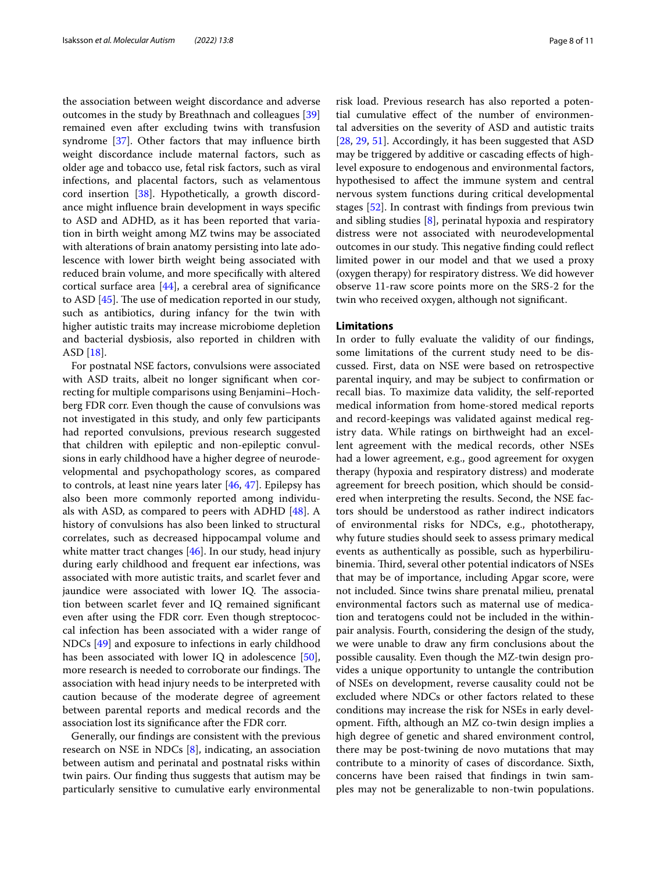the association between weight discordance and adverse outcomes in the study by Breathnach and colleagues [[39](#page-10-19)] remained even after excluding twins with transfusion syndrome [\[37\]](#page-10-17). Other factors that may infuence birth weight discordance include maternal factors, such as older age and tobacco use, fetal risk factors, such as viral infections, and placental factors, such as velamentous cord insertion [\[38](#page-10-18)]. Hypothetically, a growth discordance might infuence brain development in ways specifc to ASD and ADHD, as it has been reported that variation in birth weight among MZ twins may be associated with alterations of brain anatomy persisting into late adolescence with lower birth weight being associated with reduced brain volume, and more specifcally with altered cortical surface area [\[44](#page-10-24)], a cerebral area of signifcance to ASD  $[45]$ . The use of medication reported in our study, such as antibiotics, during infancy for the twin with higher autistic traits may increase microbiome depletion and bacterial dysbiosis, also reported in children with ASD [[18](#page-9-14)].

For postnatal NSE factors, convulsions were associated with ASD traits, albeit no longer signifcant when correcting for multiple comparisons using Benjamini–Hochberg FDR corr. Even though the cause of convulsions was not investigated in this study, and only few participants had reported convulsions, previous research suggested that children with epileptic and non-epileptic convulsions in early childhood have a higher degree of neurodevelopmental and psychopathology scores, as compared to controls, at least nine years later [\[46,](#page-10-26) [47\]](#page-10-27). Epilepsy has also been more commonly reported among individuals with ASD, as compared to peers with ADHD [\[48](#page-10-28)]. A history of convulsions has also been linked to structural correlates, such as decreased hippocampal volume and white matter tract changes [[46\]](#page-10-26). In our study, head injury during early childhood and frequent ear infections, was associated with more autistic traits, and scarlet fever and jaundice were associated with lower IQ. The association between scarlet fever and IQ remained signifcant even after using the FDR corr. Even though streptococcal infection has been associated with a wider range of NDCs [\[49](#page-10-29)] and exposure to infections in early childhood has been associated with lower IQ in adolescence [\[50](#page-10-30)], more research is needed to corroborate our findings. The association with head injury needs to be interpreted with caution because of the moderate degree of agreement between parental reports and medical records and the association lost its signifcance after the FDR corr.

Generally, our fndings are consistent with the previous research on NSE in NDCs [\[8](#page-9-7)], indicating, an association between autism and perinatal and postnatal risks within twin pairs. Our fnding thus suggests that autism may be particularly sensitive to cumulative early environmental risk load. Previous research has also reported a potential cumulative efect of the number of environmental adversities on the severity of ASD and autistic traits [[28,](#page-10-8) [29,](#page-10-9) [51](#page-10-31)]. Accordingly, it has been suggested that ASD may be triggered by additive or cascading efects of highlevel exposure to endogenous and environmental factors, hypothesised to afect the immune system and central nervous system functions during critical developmental stages [\[52](#page-10-32)]. In contrast with fndings from previous twin and sibling studies [[8](#page-9-7)], perinatal hypoxia and respiratory distress were not associated with neurodevelopmental outcomes in our study. This negative finding could reflect limited power in our model and that we used a proxy (oxygen therapy) for respiratory distress. We did however observe 11-raw score points more on the SRS-2 for the twin who received oxygen, although not signifcant.

#### **Limitations**

In order to fully evaluate the validity of our fndings, some limitations of the current study need to be discussed. First, data on NSE were based on retrospective parental inquiry, and may be subject to confrmation or recall bias. To maximize data validity, the self-reported medical information from home-stored medical reports and record-keepings was validated against medical registry data. While ratings on birthweight had an excellent agreement with the medical records, other NSEs had a lower agreement, e.g., good agreement for oxygen therapy (hypoxia and respiratory distress) and moderate agreement for breech position, which should be considered when interpreting the results. Second, the NSE factors should be understood as rather indirect indicators of environmental risks for NDCs, e.g., phototherapy, why future studies should seek to assess primary medical events as authentically as possible, such as hyperbilirubinemia. Third, several other potential indicators of NSEs that may be of importance, including Apgar score, were not included. Since twins share prenatal milieu, prenatal environmental factors such as maternal use of medication and teratogens could not be included in the withinpair analysis. Fourth, considering the design of the study, we were unable to draw any frm conclusions about the possible causality. Even though the MZ-twin design provides a unique opportunity to untangle the contribution of NSEs on development, reverse causality could not be excluded where NDCs or other factors related to these conditions may increase the risk for NSEs in early development. Fifth, although an MZ co-twin design implies a high degree of genetic and shared environment control, there may be post-twining de novo mutations that may contribute to a minority of cases of discordance. Sixth, concerns have been raised that fndings in twin samples may not be generalizable to non-twin populations.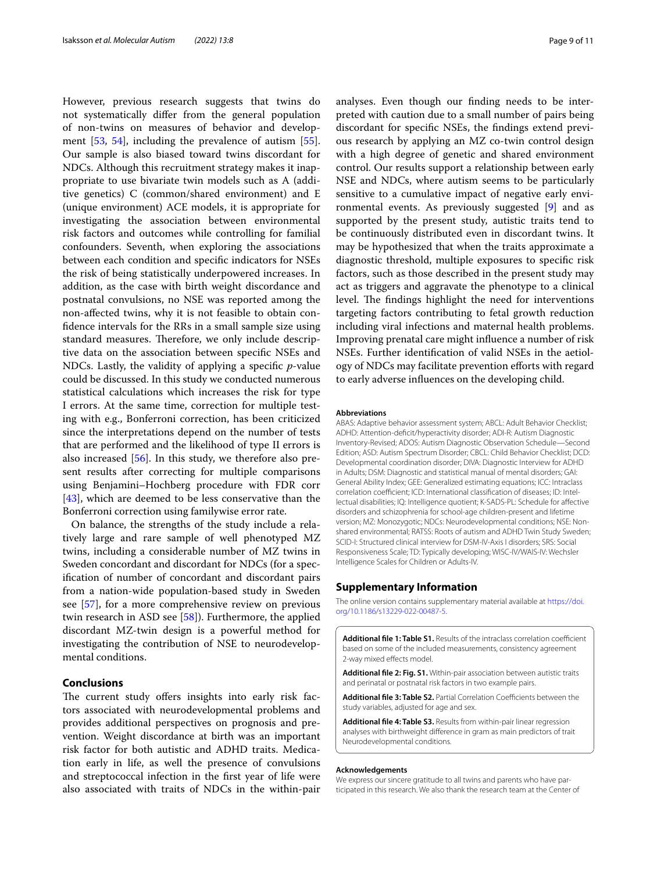However, previous research suggests that twins do not systematically difer from the general population of non-twins on measures of behavior and development  $[53, 54]$  $[53, 54]$  $[53, 54]$  $[53, 54]$ , including the prevalence of autism  $[55]$  $[55]$ . Our sample is also biased toward twins discordant for NDCs. Although this recruitment strategy makes it inappropriate to use bivariate twin models such as A (additive genetics) C (common/shared environment) and E (unique environment) ACE models, it is appropriate for investigating the association between environmental risk factors and outcomes while controlling for familial confounders. Seventh, when exploring the associations between each condition and specifc indicators for NSEs the risk of being statistically underpowered increases. In addition, as the case with birth weight discordance and postnatal convulsions, no NSE was reported among the non-afected twins, why it is not feasible to obtain confdence intervals for the RRs in a small sample size using standard measures. Therefore, we only include descriptive data on the association between specifc NSEs and NDCs. Lastly, the validity of applying a specifc *p*-value could be discussed. In this study we conducted numerous statistical calculations which increases the risk for type I errors. At the same time, correction for multiple testing with e.g., Bonferroni correction, has been criticized since the interpretations depend on the number of tests that are performed and the likelihood of type II errors is also increased [[56\]](#page-10-36). In this study, we therefore also present results after correcting for multiple comparisons using Benjamini–Hochberg procedure with FDR corr [[43\]](#page-10-23), which are deemed to be less conservative than the Bonferroni correction using familywise error rate.

On balance, the strengths of the study include a relatively large and rare sample of well phenotyped MZ twins, including a considerable number of MZ twins in Sweden concordant and discordant for NDCs (for a specifcation of number of concordant and discordant pairs from a nation-wide population-based study in Sweden see [[57](#page-10-37)], for a more comprehensive review on previous twin research in ASD see [\[58](#page-10-38)]). Furthermore, the applied discordant MZ-twin design is a powerful method for investigating the contribution of NSE to neurodevelopmental conditions.

#### **Conclusions**

The current study offers insights into early risk factors associated with neurodevelopmental problems and provides additional perspectives on prognosis and prevention. Weight discordance at birth was an important risk factor for both autistic and ADHD traits. Medication early in life, as well the presence of convulsions and streptococcal infection in the frst year of life were also associated with traits of NDCs in the within-pair analyses. Even though our fnding needs to be interpreted with caution due to a small number of pairs being discordant for specifc NSEs, the fndings extend previous research by applying an MZ co-twin control design with a high degree of genetic and shared environment control. Our results support a relationship between early NSE and NDCs, where autism seems to be particularly sensitive to a cumulative impact of negative early environmental events. As previously suggested [[9\]](#page-9-8) and as supported by the present study, autistic traits tend to be continuously distributed even in discordant twins. It may be hypothesized that when the traits approximate a diagnostic threshold, multiple exposures to specifc risk factors, such as those described in the present study may act as triggers and aggravate the phenotype to a clinical level. The findings highlight the need for interventions targeting factors contributing to fetal growth reduction including viral infections and maternal health problems. Improving prenatal care might infuence a number of risk NSEs. Further identifcation of valid NSEs in the aetiology of NDCs may facilitate prevention efforts with regard to early adverse infuences on the developing child.

#### **Abbreviations**

ABAS: Adaptive behavior assessment system; ABCL: Adult Behavior Checklist; ADHD: Attention-defcit/hyperactivity disorder; ADI-R: Autism Diagnostic Inventory-Revised; ADOS: Autism Diagnostic Observation Schedule—Second Edition; ASD: Autism Spectrum Disorder; CBCL: Child Behavior Checklist; DCD: Developmental coordination disorder; DIVA: Diagnostic Interview for ADHD in Adults; DSM: Diagnostic and statistical manual of mental disorders; GAI: General Ability Index; GEE: Generalized estimating equations; ICC: Intraclass correlation coefficient; ICD: International classification of diseases; ID: Intellectual disabilities; IQ: Intelligence quotient; K-SADS-PL: Schedule for afective disorders and schizophrenia for school-age children-present and lifetime version; MZ: Monozygotic; NDCs: Neurodevelopmental conditions; NSE: Nonshared environmental; RATSS: Roots of autism and ADHD Twin Study Sweden; SCID-I: Structured clinical interview for DSM-IV-Axis I disorders; SRS: Social Responsiveness Scale; TD: Typically developing; WISC-IV/WAIS-IV: Wechsler Intelligence Scales for Children or Adults-IV.

#### **Supplementary Information**

The online version contains supplementary material available at [https://doi.](https://doi.org/10.1186/s13229-022-00487-5) [org/10.1186/s13229-022-00487-5](https://doi.org/10.1186/s13229-022-00487-5).

<span id="page-8-0"></span>Additional file 1: Table S1. Results of the intraclass correlation coefficient based on some of the included measurements, consistency agreement 2-way mixed efects model.

<span id="page-8-2"></span><span id="page-8-1"></span>**Additional fle 2: Fig. S1.** Within-pair association between autistic traits and perinatal or postnatal risk factors in two example pairs.

<span id="page-8-3"></span>Additional file 3: Table S2. Partial Correlation Coefficients between the study variables, adjusted for age and sex.

**Additional fle 4: Table S3.** Results from within-pair linear regression analyses with birthweight diference in gram as main predictors of trait Neurodevelopmental conditions.

#### **Acknowledgements**

We express our sincere gratitude to all twins and parents who have participated in this research. We also thank the research team at the Center of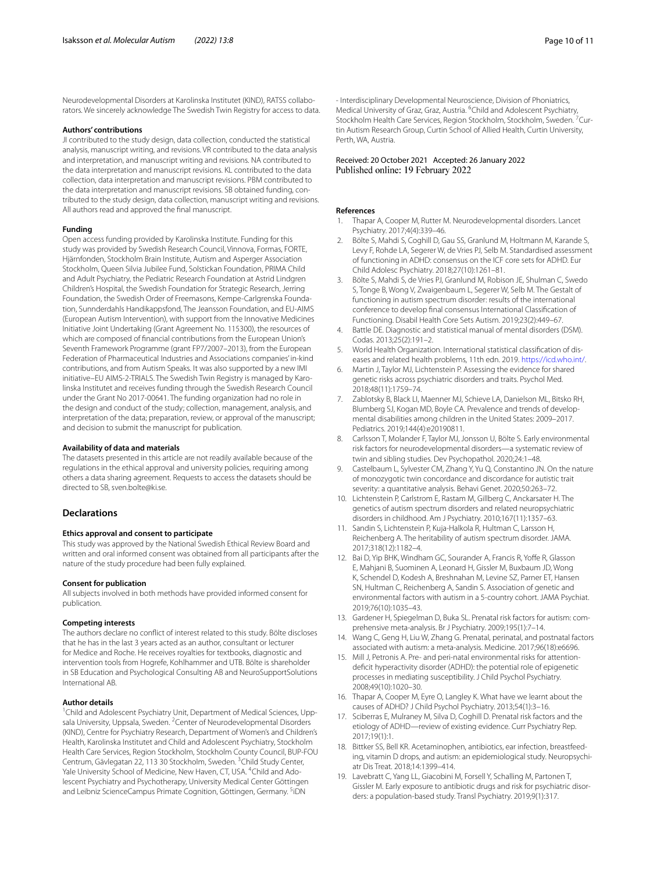Neurodevelopmental Disorders at Karolinska Institutet (KIND), RATSS collaborators. We sincerely acknowledge The Swedish Twin Registry for access to data.

#### **Authors' contributions**

JI contributed to the study design, data collection, conducted the statistical analysis, manuscript writing, and revisions. VR contributed to the data analysis and interpretation, and manuscript writing and revisions. NA contributed to the data interpretation and manuscript revisions. KL contributed to the data collection, data interpretation and manuscript revisions. PBM contributed to the data interpretation and manuscript revisions. SB obtained funding, contributed to the study design, data collection, manuscript writing and revisions. All authors read and approved the fnal manuscript.

#### **Funding**

Open access funding provided by Karolinska Institute. Funding for this study was provided by Swedish Research Council, Vinnova, Formas, FORTE, Hjärnfonden, Stockholm Brain Institute, Autism and Asperger Association Stockholm, Queen Silvia Jubilee Fund, Solstickan Foundation, PRIMA Child and Adult Psychiatry, the Pediatric Research Foundation at Astrid Lindgren Children's Hospital, the Swedish Foundation for Strategic Research, Jerring Foundation, the Swedish Order of Freemasons, Kempe-Carlgrenska Foundation, Sunnderdahls Handikappsfond, The Jeansson Foundation, and EU-AIMS (European Autism Intervention), with support from the Innovative Medicines Initiative Joint Undertaking (Grant Agreement No. 115300), the resources of which are composed of fnancial contributions from the European Union's Seventh Framework Programme (grant FP7/2007–2013), from the European Federation of Pharmaceutical Industries and Associations companies' in-kind contributions, and from Autism Speaks. It was also supported by a new IMI initiative–EU AIMS-2-TRIALS. The Swedish Twin Registry is managed by Karolinska Institutet and receives funding through the Swedish Research Council under the Grant No 2017-00641. The funding organization had no role in the design and conduct of the study; collection, management, analysis, and interpretation of the data; preparation, review, or approval of the manuscript; and decision to submit the manuscript for publication.

#### **Availability of data and materials**

The datasets presented in this article are not readily available because of the regulations in the ethical approval and university policies, requiring among others a data sharing agreement. Requests to access the datasets should be directed to SB, sven.bolte@ki.se.

#### **Declarations**

#### **Ethics approval and consent to participate**

This study was approved by the National Swedish Ethical Review Board and written and oral informed consent was obtained from all participants after the nature of the study procedure had been fully explained.

#### **Consent for publication**

All subjects involved in both methods have provided informed consent for publication.

#### **Competing interests**

The authors declare no confict of interest related to this study. Bölte discloses that he has in the last 3 years acted as an author, consultant or lecturer for Medice and Roche. He receives royalties for textbooks, diagnostic and intervention tools from Hogrefe, Kohlhammer and UTB. Bölte is shareholder in SB Education and Psychological Consulting AB and NeuroSupportSolutions International AB.

#### **Author details**

<sup>1</sup> Child and Adolescent Psychiatry Unit, Department of Medical Sciences, Uppsala University, Uppsala, Sweden. <sup>2</sup> Center of Neurodevelopmental Disorders (KIND), Centre for Psychiatry Research, Department of Women's and Children's Health, Karolinska Institutet and Child and Adolescent Psychiatry, Stockholm Health Care Services, Region Stockholm, Stockholm County Council, BUP-FOU Centrum, Gävlegatan 22, 113 30 Stockholm, Sweden. <sup>3</sup>Child Study Center, Yale University School of Medicine, New Haven, CT, USA. <sup>4</sup>Child and Adolescent Psychiatry and Psychotherapy, University Medical Center Göttingen and Leibniz ScienceCampus Primate Cognition, Göttingen, Germany. <sup>5</sup>iDN

# Received: 20 October 2021 Accepted: 26 January 2022

#### **References**

- <span id="page-9-0"></span>Thapar A, Cooper M, Rutter M. Neurodevelopmental disorders. Lancet Psychiatry. 2017;4(4):339–46.
- <span id="page-9-1"></span>2. Bölte S, Mahdi S, Coghill D, Gau SS, Granlund M, Holtmann M, Karande S, Levy F, Rohde LA, Segerer W, de Vries PJ, Selb M. Standardised assessment of functioning in ADHD: consensus on the ICF core sets for ADHD. Eur Child Adolesc Psychiatry. 2018;27(10):1261–81.
- <span id="page-9-2"></span>3. Bölte S, Mahdi S, de Vries PJ, Granlund M, Robison JE, Shulman C, Swedo S, Tonge B, Wong V, Zwaigenbaum L, Segerer W, Selb M. The Gestalt of functioning in autism spectrum disorder: results of the international conference to develop fnal consensus International Classifcation of Functioning. Disabil Health Core Sets Autism. 2019;23(2):449–67.
- <span id="page-9-3"></span>4. Battle DE. Diagnostic and statistical manual of mental disorders (DSM). Codas. 2013;25(2):191–2.
- <span id="page-9-4"></span>5. World Health Organization. International statistical classifcation of diseases and related health problems, 11th edn. 2019. <https://icd.who.int/>.
- <span id="page-9-5"></span>6. Martin J, Taylor MJ, Lichtenstein P. Assessing the evidence for shared genetic risks across psychiatric disorders and traits. Psychol Med. 2018;48(11):1759–74.
- <span id="page-9-6"></span>7. Zablotsky B, Black LI, Maenner MJ, Schieve LA, Danielson ML, Bitsko RH, Blumberg SJ, Kogan MD, Boyle CA. Prevalence and trends of developmental disabilities among children in the United States: 2009–2017. Pediatrics. 2019;144(4):e20190811.
- <span id="page-9-7"></span>Carlsson T, Molander F, Taylor MJ, Jonsson U, Bölte S. Early environmental risk factors for neurodevelopmental disorders—a systematic review of twin and sibling studies. Dev Psychopathol. 2020;24:1–48.
- <span id="page-9-8"></span>9. Castelbaum L, Sylvester CM, Zhang Y, Yu Q, Constantino JN. On the nature of monozygotic twin concordance and discordance for autistic trait severity: a quantitative analysis. Behavi Genet. 2020;50:263–72.
- <span id="page-9-9"></span>10. Lichtenstein P, Carlstrom E, Rastam M, Gillberg C, Anckarsater H. The genetics of autism spectrum disorders and related neuropsychiatric disorders in childhood. Am J Psychiatry. 2010;167(11):1357–63.
- 11. Sandin S, Lichtenstein P, Kuja-Halkola R, Hultman C, Larsson H, Reichenberg A. The heritability of autism spectrum disorder. JAMA. 2017;318(12):1182–4.
- <span id="page-9-10"></span>12. Bai D, Yip BHK, Windham GC, Sourander A, Francis R, Yoffe R, Glasson E, Mahjani B, Suominen A, Leonard H, Gissler M, Buxbaum JD, Wong K, Schendel D, Kodesh A, Breshnahan M, Levine SZ, Parner ET, Hansen SN, Hultman C, Reichenberg A, Sandin S. Association of genetic and environmental factors with autism in a 5-country cohort. JAMA Psychiat. 2019;76(10):1035–43.
- <span id="page-9-11"></span>13. Gardener H, Spiegelman D, Buka SL. Prenatal risk factors for autism: comprehensive meta-analysis. Br J Psychiatry. 2009;195(1):7–14.
- 14. Wang C, Geng H, Liu W, Zhang G. Prenatal, perinatal, and postnatal factors associated with autism: a meta-analysis. Medicine. 2017;96(18):e6696.
- 15. Mill J, Petronis A. Pre- and peri-natal environmental risks for attentiondefcit hyperactivity disorder (ADHD): the potential role of epigenetic processes in mediating susceptibility. J Child Psychol Psychiatry. 2008;49(10):1020–30.
- <span id="page-9-12"></span>16. Thapar A, Cooper M, Eyre O, Langley K. What have we learnt about the causes of ADHD? J Child Psychol Psychiatry. 2013;54(1):3–16.
- <span id="page-9-13"></span>17. Sciberras E, Mulraney M, Silva D, Coghill D. Prenatal risk factors and the etiology of ADHD—review of existing evidence. Curr Psychiatry Rep. 2017;19(1):1.
- <span id="page-9-14"></span>18. Bittker SS, Bell KR. Acetaminophen, antibiotics, ear infection, breastfeeding, vitamin D drops, and autism: an epidemiological study. Neuropsychiatr Dis Treat. 2018;14:1399–414.
- <span id="page-9-15"></span>19. Lavebratt C, Yang LL, Giacobini M, Forsell Y, Schalling M, Partonen T, Gissler M. Early exposure to antibiotic drugs and risk for psychiatric disorders: a population-based study. Transl Psychiatry. 2019;9(1):317.